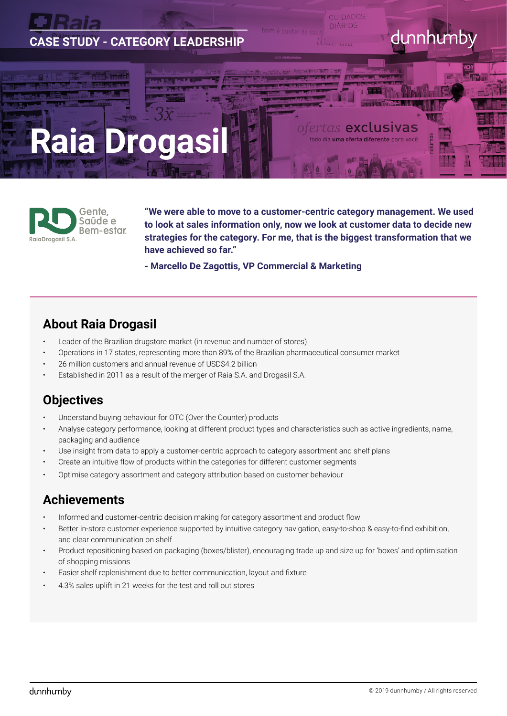



**"We were able to move to a customer-centric category management. We used to look at sales information only, now we look at customer data to decide new strategies for the category. For me, that is the biggest transformation that we have achieved so far."**

**- Marcello De Zagottis, VP Commercial & Marketing** 

## **About Raia Drogasil**

- Leader of the Brazilian drugstore market (in revenue and number of stores)
- Operations in 17 states, representing more than 89% of the Brazilian pharmaceutical consumer market
- 26 million customers and annual revenue of USD\$4.2 billion
- Established in 2011 as a result of the merger of Raia S.A. and Drogasil S.A.

# **Objectives**

- Understand buying behaviour for OTC (Over the Counter) products
- Analyse category performance, looking at different product types and characteristics such as active ingredients, name, packaging and audience
- Use insight from data to apply a customer-centric approach to category assortment and shelf plans
- Create an intuitive flow of products within the categories for different customer segments
- Optimise category assortment and category attribution based on customer behaviour

## **Achievements**

- Informed and customer-centric decision making for category assortment and product flow
- Better in-store customer experience supported by intuitive category navigation, easy-to-shop & easy-to-find exhibition, and clear communication on shelf
- Product repositioning based on packaging (boxes/blister), encouraging trade up and size up for 'boxes' and optimisation of shopping missions
- Easier shelf replenishment due to better communication, layout and fixture
- 4.3% sales uplift in 21 weeks for the test and roll out stores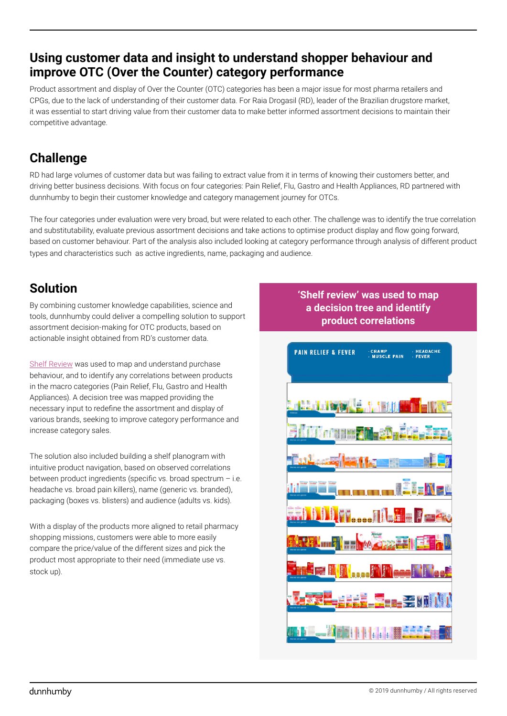## **Using customer data and insight to understand shopper behaviour and improve OTC (Over the Counter) category performance**

Product assortment and display of Over the Counter (OTC) categories has been a major issue for most pharma retailers and CPGs, due to the lack of understanding of their customer data. For Raia Drogasil (RD), leader of the Brazilian drugstore market, it was essential to start driving value from their customer data to make better informed assortment decisions to maintain their competitive advantage.

# **Challenge**

RD had large volumes of customer data but was failing to extract value from it in terms of knowing their customers better, and driving better business decisions. With focus on four categories: Pain Relief, Flu, Gastro and Health Appliances, RD partnered with dunnhumby to begin their customer knowledge and category management journey for OTCs.

The four categories under evaluation were very broad, but were related to each other. The challenge was to identify the true correlation and substitutability, evaluate previous assortment decisions and take actions to optimise product display and flow going forward, based on customer behaviour. Part of the analysis also included looking at category performance through analysis of different product types and characteristics such as active ingredients, name, packaging and audience.

# **Solution**

By combining customer knowledge capabilities, science and tools, dunnhumby could deliver a compelling solution to support assortment decision-making for OTC products, based on actionable insight obtained from RD's customer data.

[Shelf Review](http://www.dunnhumby.com/solutions/products/shelf-review) was used to map and understand purchase behaviour, and to identify any correlations between products in the macro categories (Pain Relief, Flu, Gastro and Health Appliances). A decision tree was mapped providing the necessary input to redefine the assortment and display of various brands, seeking to improve category performance and increase category sales.

The solution also included building a shelf planogram with intuitive product navigation, based on observed correlations between product ingredients (specific vs. broad spectrum – i.e. headache vs. broad pain killers), name (generic vs. branded), packaging (boxes vs. blisters) and audience (adults vs. kids).

With a display of the products more aligned to retail pharmacy shopping missions, customers were able to more easily compare the price/value of the different sizes and pick the product most appropriate to their need (immediate use vs. stock up).

#### **'Shelf review' was used to map a decision tree and identify product correlations**